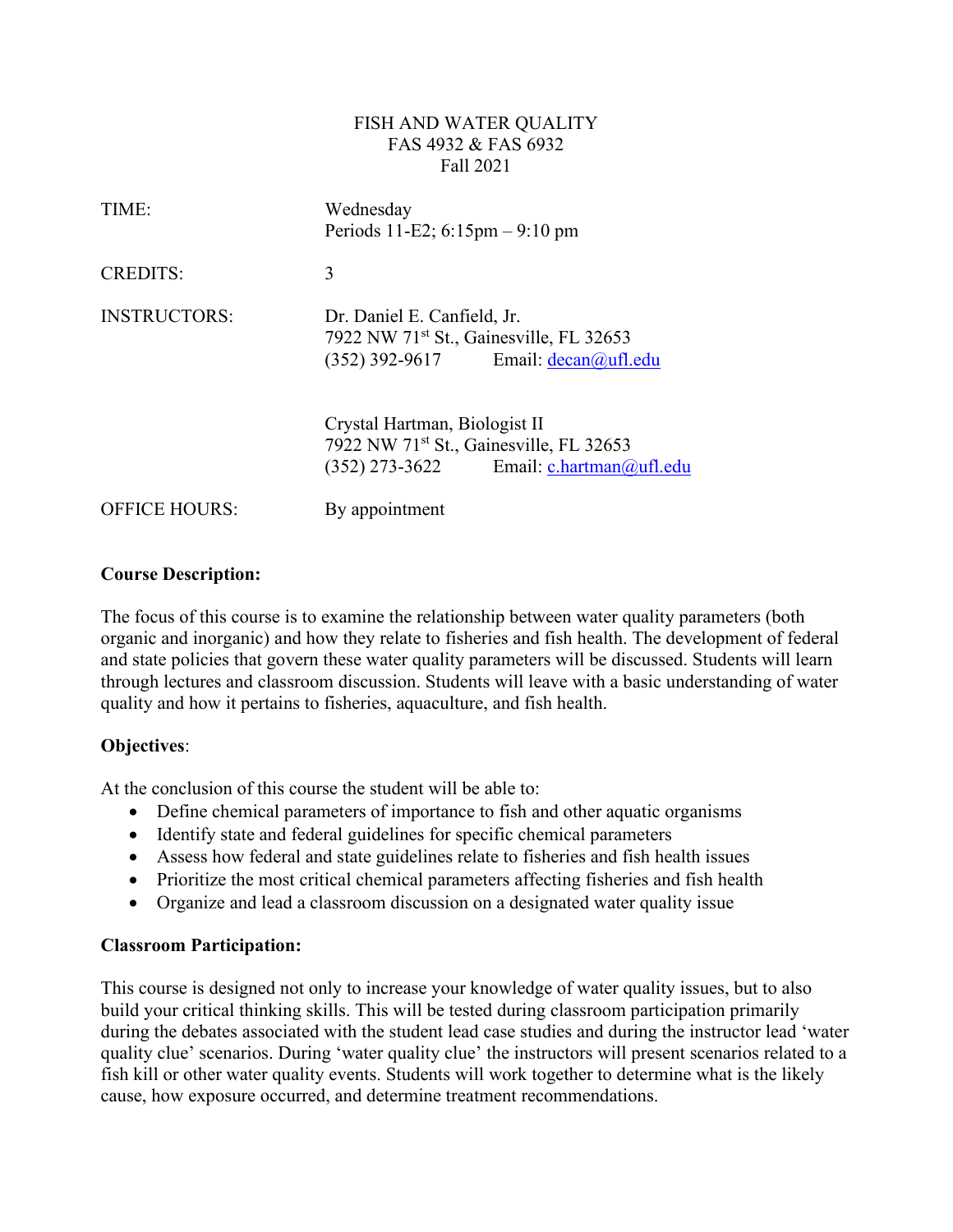#### FISH AND WATER QUALITY FAS 4932 & FAS 6932 Fall 2021

| TIME:                | Wednesday<br>Periods 11-E2; $6:15 \text{pm} - 9:10 \text{pm}$                                                                 |  |  |  |
|----------------------|-------------------------------------------------------------------------------------------------------------------------------|--|--|--|
| <b>CREDITS:</b>      | 3                                                                                                                             |  |  |  |
| <b>INSTRUCTORS:</b>  | Dr. Daniel E. Canfield, Jr.<br>7922 NW 71 <sup>st</sup> St., Gainesville, FL 32653<br>$(352)$ 392-9617 Email: $decan@ufl.edu$ |  |  |  |
|                      | Crystal Hartman, Biologist II<br>7922 NW 71st St., Gainesville, FL 32653<br>$(352)$ 273-3622 Email: c.hartman@ufl.edu         |  |  |  |
| <b>OFFICE HOURS:</b> | By appointment                                                                                                                |  |  |  |

## **Course Description:**

The focus of this course is to examine the relationship between water quality parameters (both organic and inorganic) and how they relate to fisheries and fish health. The development of federal and state policies that govern these water quality parameters will be discussed. Students will learn through lectures and classroom discussion. Students will leave with a basic understanding of water quality and how it pertains to fisheries, aquaculture, and fish health.

#### **Objectives**:

At the conclusion of this course the student will be able to:

- Define chemical parameters of importance to fish and other aquatic organisms
- Identify state and federal guidelines for specific chemical parameters
- Assess how federal and state guidelines relate to fisheries and fish health issues
- Prioritize the most critical chemical parameters affecting fisheries and fish health
- Organize and lead a classroom discussion on a designated water quality issue

#### **Classroom Participation:**

This course is designed not only to increase your knowledge of water quality issues, but to also build your critical thinking skills. This will be tested during classroom participation primarily during the debates associated with the student lead case studies and during the instructor lead 'water quality clue' scenarios. During 'water quality clue' the instructors will present scenarios related to a fish kill or other water quality events. Students will work together to determine what is the likely cause, how exposure occurred, and determine treatment recommendations.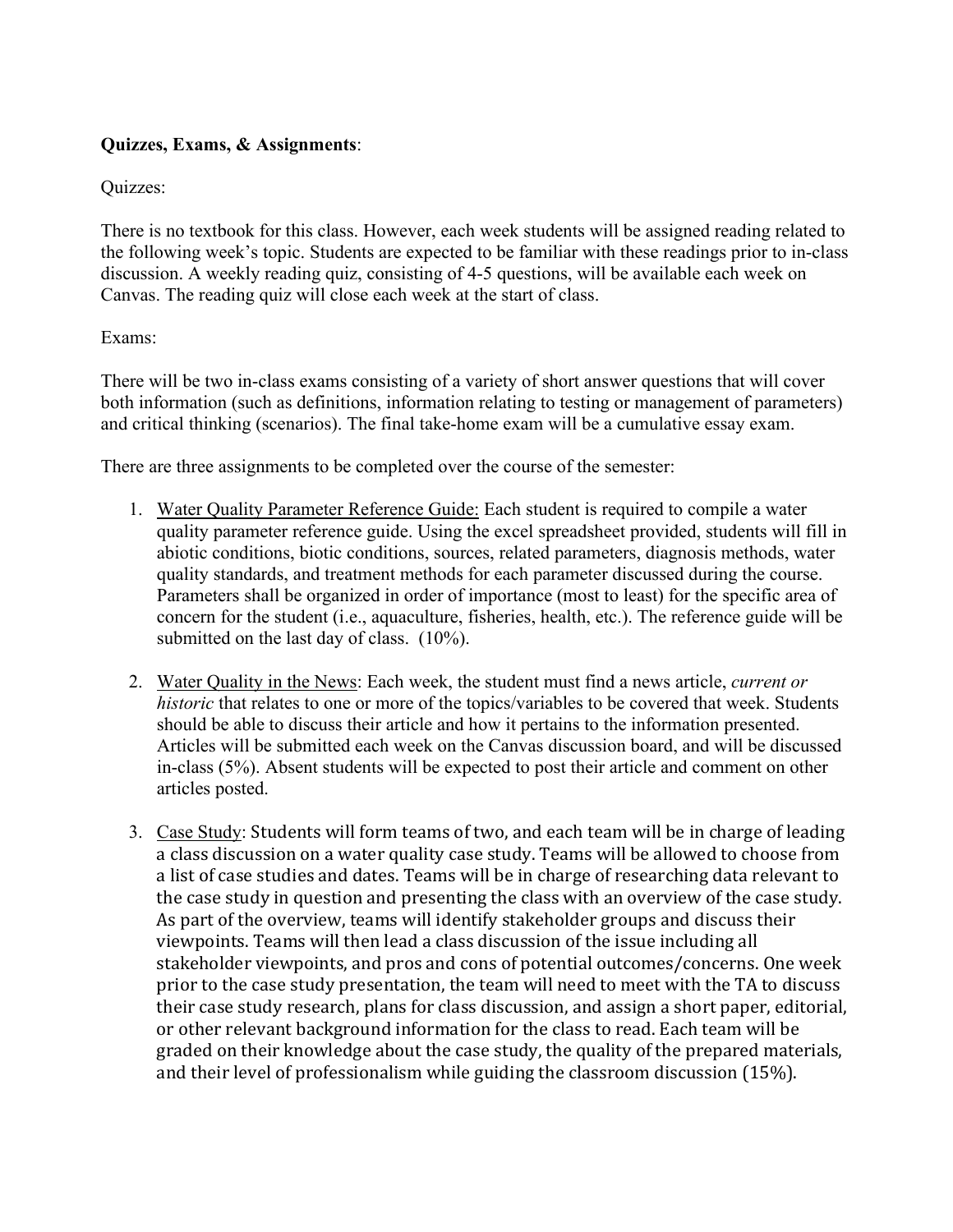# **Quizzes, Exams, & Assignments**:

# Quizzes:

There is no textbook for this class. However, each week students will be assigned reading related to the following week's topic. Students are expected to be familiar with these readings prior to in-class discussion. A weekly reading quiz, consisting of 4-5 questions, will be available each week on Canvas. The reading quiz will close each week at the start of class.

## Exams:

There will be two in-class exams consisting of a variety of short answer questions that will cover both information (such as definitions, information relating to testing or management of parameters) and critical thinking (scenarios). The final take-home exam will be a cumulative essay exam.

There are three assignments to be completed over the course of the semester:

- 1. Water Quality Parameter Reference Guide: Each student is required to compile a water quality parameter reference guide. Using the excel spreadsheet provided, students will fill in abiotic conditions, biotic conditions, sources, related parameters, diagnosis methods, water quality standards, and treatment methods for each parameter discussed during the course. Parameters shall be organized in order of importance (most to least) for the specific area of concern for the student (i.e., aquaculture, fisheries, health, etc.). The reference guide will be submitted on the last day of class. (10%).
- 2. Water Quality in the News: Each week, the student must find a news article, *current or historic* that relates to one or more of the topics/variables to be covered that week. Students should be able to discuss their article and how it pertains to the information presented. Articles will be submitted each week on the Canvas discussion board, and will be discussed in-class (5%). Absent students will be expected to post their article and comment on other articles posted.
- 3. Case Study: Students will form teams of two, and each team will be in charge of leading a class discussion on a water quality case study. Teams will be allowed to choose from a list of case studies and dates. Teams will be in charge of researching data relevant to the case study in question and presenting the class with an overview of the case study. As part of the overview, teams will identify stakeholder groups and discuss their viewpoints. Teams will then lead a class discussion of the issue including all stakeholder viewpoints, and pros and cons of potential outcomes/concerns. One week prior to the case study presentation, the team will need to meet with the TA to discuss their case study research, plans for class discussion, and assign a short paper, editorial, or other relevant background information for the class to read. Each team will be graded on their knowledge about the case study, the quality of the prepared materials, and their level of professionalism while guiding the classroom discussion (15%).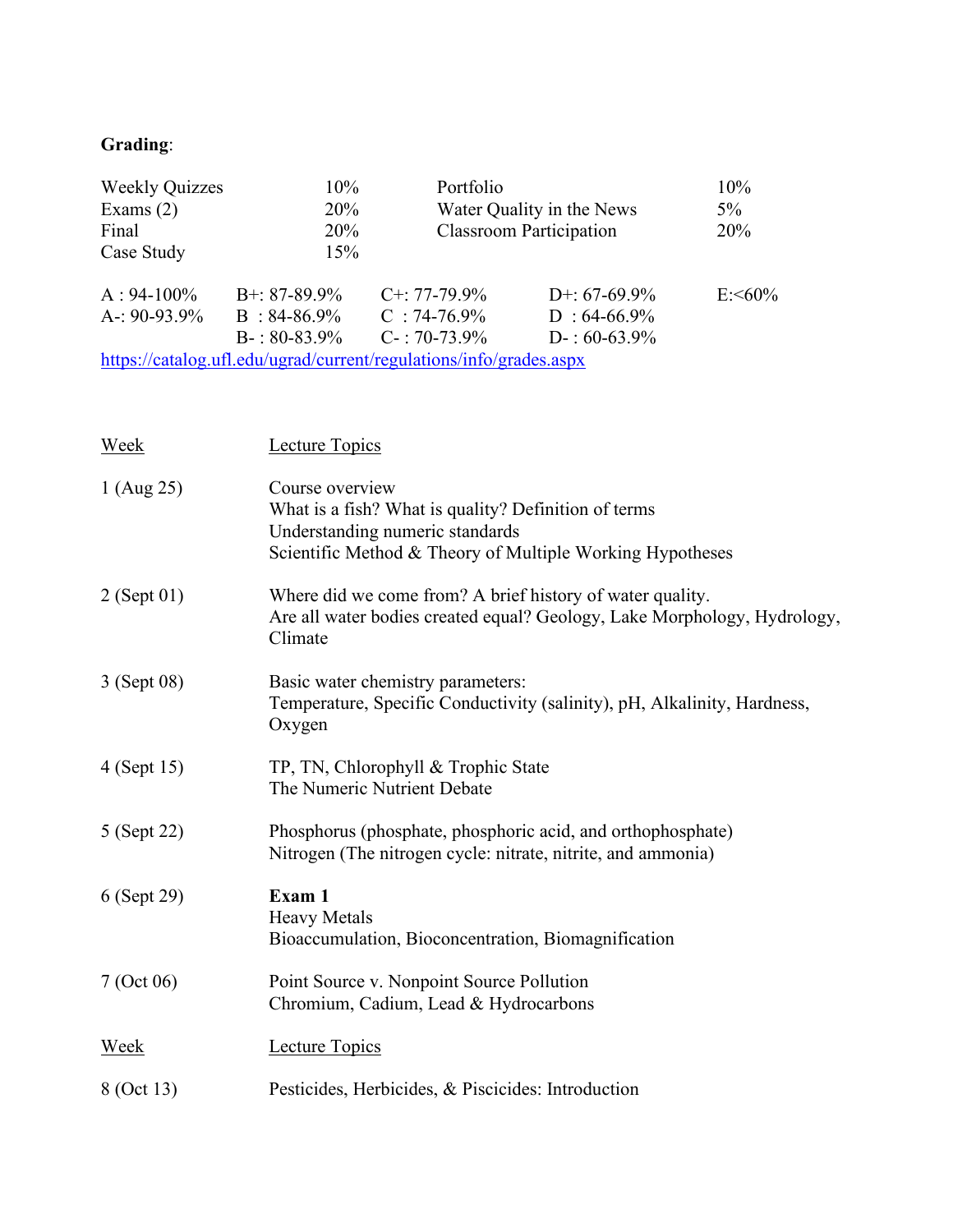# **Grading**:

| <b>Weekly Quizzes</b> | $10\%$             | Portfolio                                                          | 10%                            |           |
|-----------------------|--------------------|--------------------------------------------------------------------|--------------------------------|-----------|
| Exams $(2)$           | 20%                | Water Quality in the News                                          |                                | $5\%$     |
| Final                 | 20%                |                                                                    | <b>Classroom Participation</b> | 20%       |
| Case Study            | 15%                |                                                                    |                                |           |
| $A: 94-100\%$         | $B^{+}$ : 87-89.9% | $C^{+}$ : 77-79.9%                                                 | D+: $67-69.9\%$                | $E: 50\%$ |
| A-: $90-93.9\%$       | $B: 84-86.9\%$     | $C$ : 74-76.9%                                                     | $D: 64-66.9\%$                 |           |
|                       | $B-$ : 80-83.9%    | $C-$ : 70-73.9%                                                    | $D-$ : 60-63.9%                |           |
|                       |                    | https://catalog.ufl.edu/ugrad/current/regulations/info/grades.aspx |                                |           |

| Week          | <b>Lecture Topics</b>                                                                                                                                                   |
|---------------|-------------------------------------------------------------------------------------------------------------------------------------------------------------------------|
| 1 (Aug 25)    | Course overview<br>What is a fish? What is quality? Definition of terms<br>Understanding numeric standards<br>Scientific Method & Theory of Multiple Working Hypotheses |
| $2$ (Sept 01) | Where did we come from? A brief history of water quality.<br>Are all water bodies created equal? Geology, Lake Morphology, Hydrology,<br>Climate                        |
| 3 (Sept 08)   | Basic water chemistry parameters:<br>Temperature, Specific Conductivity (salinity), pH, Alkalinity, Hardness,<br>Oxygen                                                 |
| 4 (Sept 15)   | TP, TN, Chlorophyll & Trophic State<br>The Numeric Nutrient Debate                                                                                                      |
| 5 (Sept 22)   | Phosphorus (phosphate, phosphoric acid, and orthophosphate)<br>Nitrogen (The nitrogen cycle: nitrate, nitrite, and ammonia)                                             |
| 6 (Sept 29)   | Exam 1<br><b>Heavy Metals</b><br>Bioaccumulation, Bioconcentration, Biomagnification                                                                                    |
| 7 (Oct 06)    | Point Source v. Nonpoint Source Pollution<br>Chromium, Cadium, Lead & Hydrocarbons                                                                                      |
| <b>Week</b>   | <b>Lecture Topics</b>                                                                                                                                                   |
| 8 (Oct 13)    | Pesticides, Herbicides, & Piscicides: Introduction                                                                                                                      |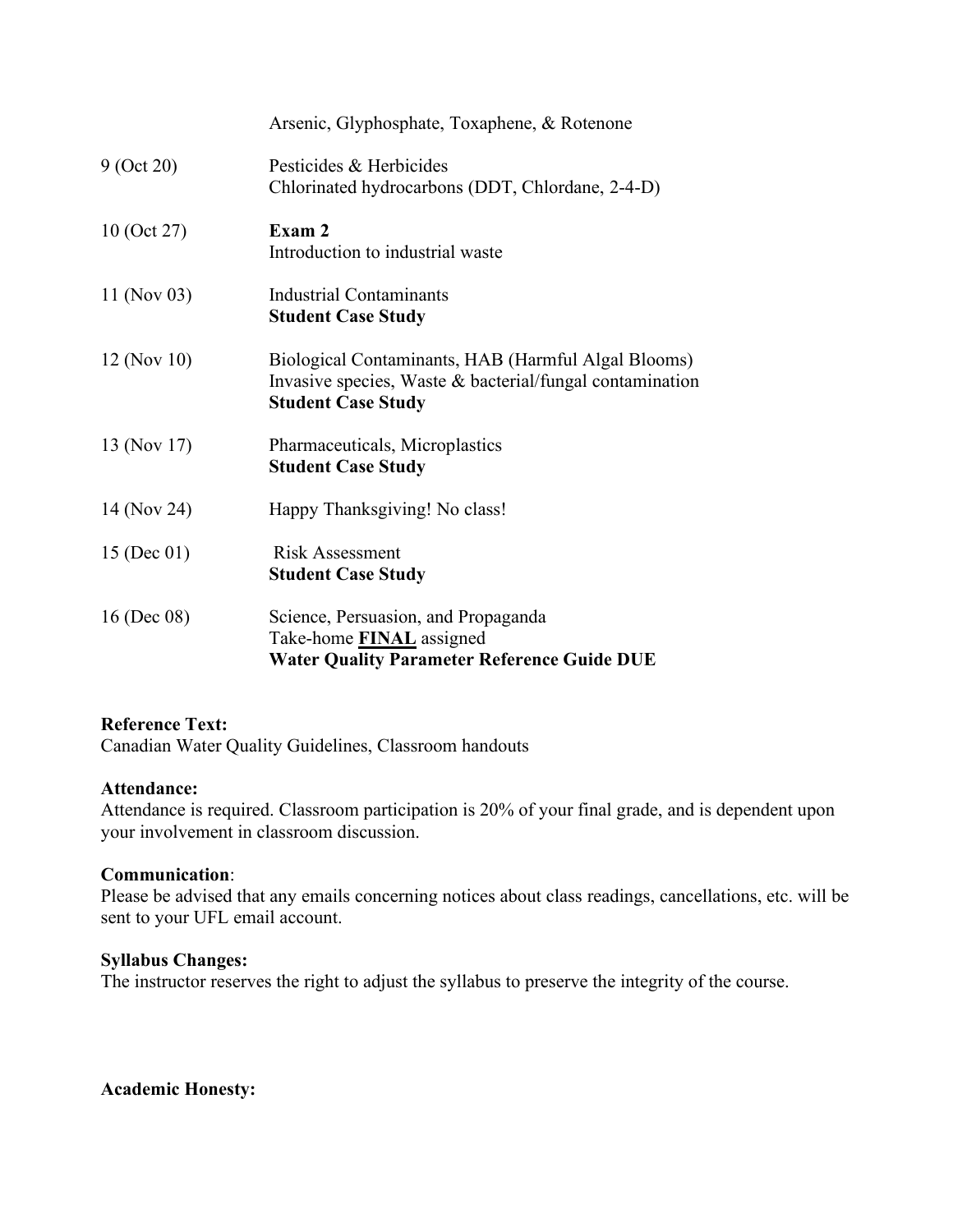|                | Arsenic, Glyphosphate, Toxaphene, & Rotenone                                                                                                 |
|----------------|----------------------------------------------------------------------------------------------------------------------------------------------|
| 9 (Oct 20)     | Pesticides & Herbicides<br>Chlorinated hydrocarbons (DDT, Chlordane, 2-4-D)                                                                  |
| 10 (Oct 27)    | Exam 2<br>Introduction to industrial waste                                                                                                   |
| 11 (Nov 03)    | Industrial Contaminants<br><b>Student Case Study</b>                                                                                         |
| $12$ (Nov 10)  | Biological Contaminants, HAB (Harmful Algal Blooms)<br>Invasive species, Waste & bacterial/fungal contamination<br><b>Student Case Study</b> |
| 13 (Nov 17)    | Pharmaceuticals, Microplastics<br><b>Student Case Study</b>                                                                                  |
| 14 (Nov 24)    | Happy Thanksgiving! No class!                                                                                                                |
| 15 (Dec 01)    | <b>Risk Assessment</b><br><b>Student Case Study</b>                                                                                          |
| 16 (Dec $08$ ) | Science, Persuasion, and Propaganda<br>Take-home <b>FINAL</b> assigned<br><b>Water Quality Parameter Reference Guide DUE</b>                 |

#### **Reference Text:**

Canadian Water Quality Guidelines, Classroom handouts

#### **Attendance:**

Attendance is required. Classroom participation is 20% of your final grade, and is dependent upon your involvement in classroom discussion.

#### **Communication**:

Please be advised that any emails concerning notices about class readings, cancellations, etc. will be sent to your UFL email account.

#### **Syllabus Changes:**

The instructor reserves the right to adjust the syllabus to preserve the integrity of the course.

# **Academic Honesty:**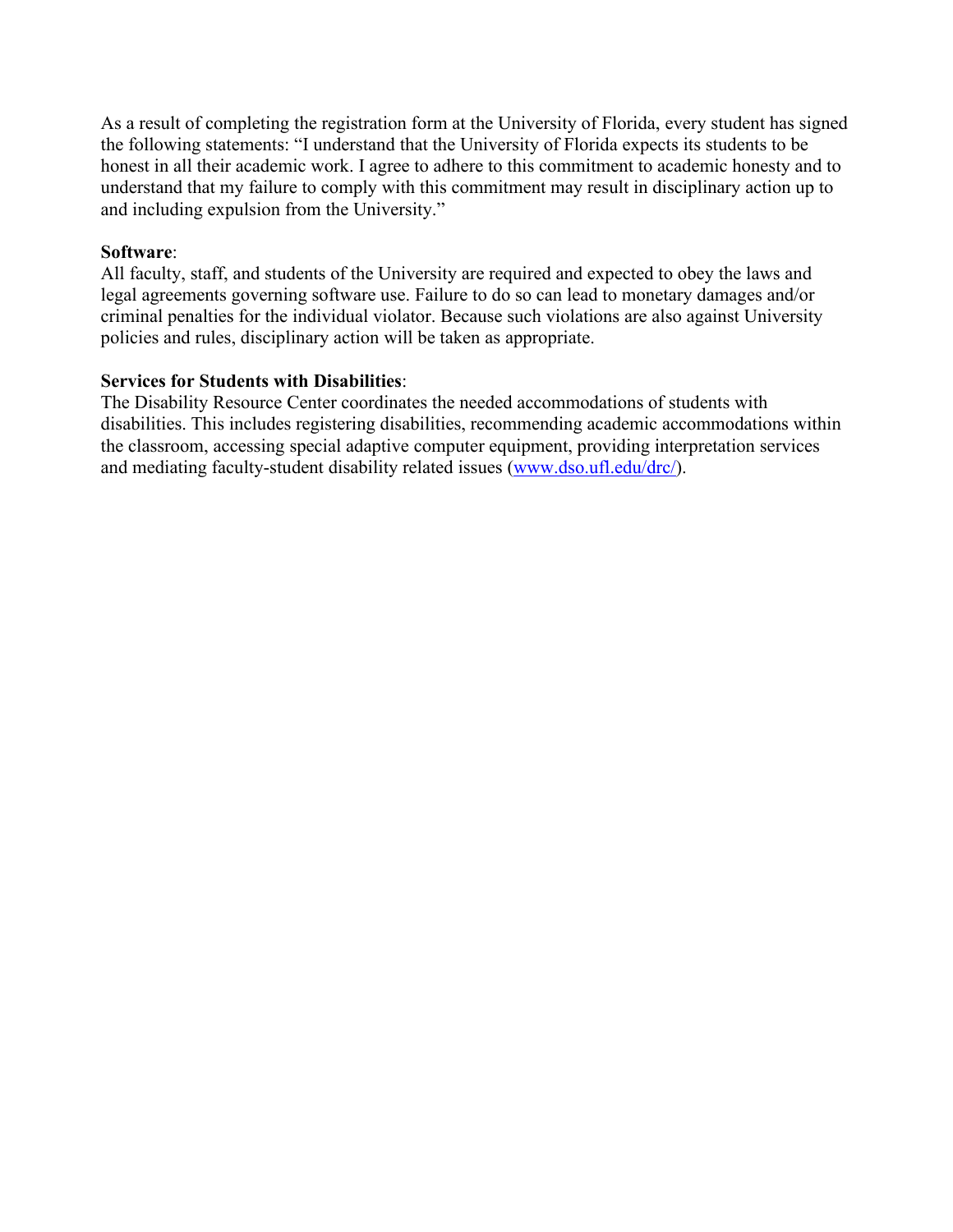As a result of completing the registration form at the University of Florida, every student has signed the following statements: "I understand that the University of Florida expects its students to be honest in all their academic work. I agree to adhere to this commitment to academic honesty and to understand that my failure to comply with this commitment may result in disciplinary action up to and including expulsion from the University."

#### **Software**:

All faculty, staff, and students of the University are required and expected to obey the laws and legal agreements governing software use. Failure to do so can lead to monetary damages and/or criminal penalties for the individual violator. Because such violations are also against University policies and rules, disciplinary action will be taken as appropriate.

## **Services for Students with Disabilities**:

The Disability Resource Center coordinates the needed accommodations of students with disabilities. This includes registering disabilities, recommending academic accommodations within the classroom, accessing special adaptive computer equipment, providing interpretation services and mediating faculty-student disability related issues [\(www.dso.ufl.edu/drc/\)](http://www.dso.ufl.edu/drc/).